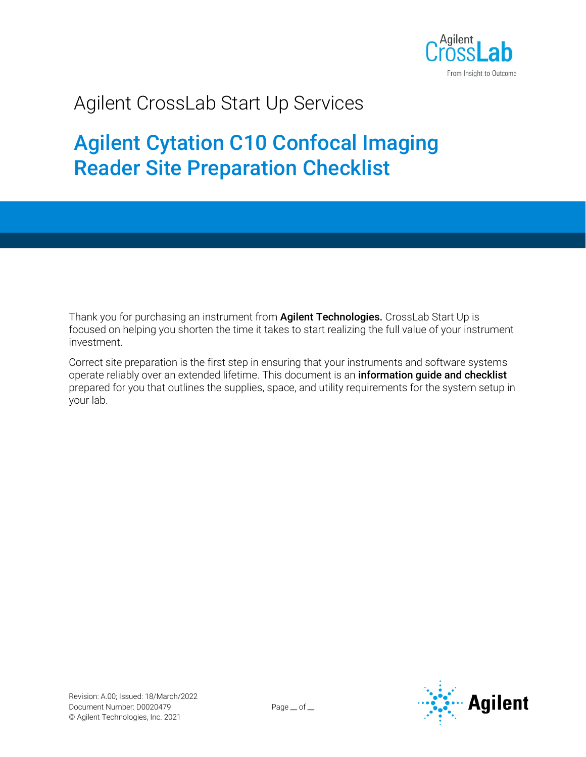

# Agilent CrossLab Start Up Services

# Agilent Cytation C10 Confocal Imaging Reader Site Preparation Checklist

Thank you for purchasing an instrument from **Agilent Technologies.** CrossLab Start Up is focused on helping you shorten the time it takes to start realizing the full value of your instrument investment.

Correct site preparation is the first step in ensuring that your instruments and software systems operate reliably over an extended lifetime. This document is an information guide and checklist prepared for you that outlines the supplies, space, and utility requirements for the system setup in your lab.

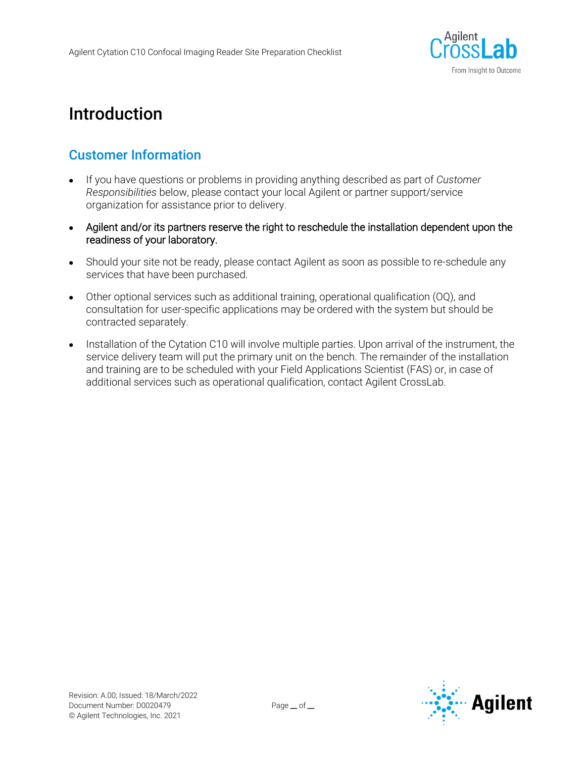

## Introduction

#### Customer Information

- If you have questions or problems in providing anything described as part of *Customer Responsibilities* below, please contact your local Agilent or partner support/service organization for assistance prior to delivery.
- Agilent and/or its partners reserve the right to reschedule the installation dependent upon the readiness of your laboratory.
- Should your site not be ready, please contact Agilent as soon as possible to re-schedule any services that have been purchased.
- Other optional services such as additional training, operational qualification (OQ), and consultation for user-specific applications may be ordered with the system but should be contracted separately.
- Installation of the Cytation C10 will involve multiple parties. Upon arrival of the instrument, the service delivery team will put the primary unit on the bench. The remainder of the installation and training are to be scheduled with your Field Applications Scientist (FAS) or, in case of additional services such as operational qualification, contact Agilent CrossLab.

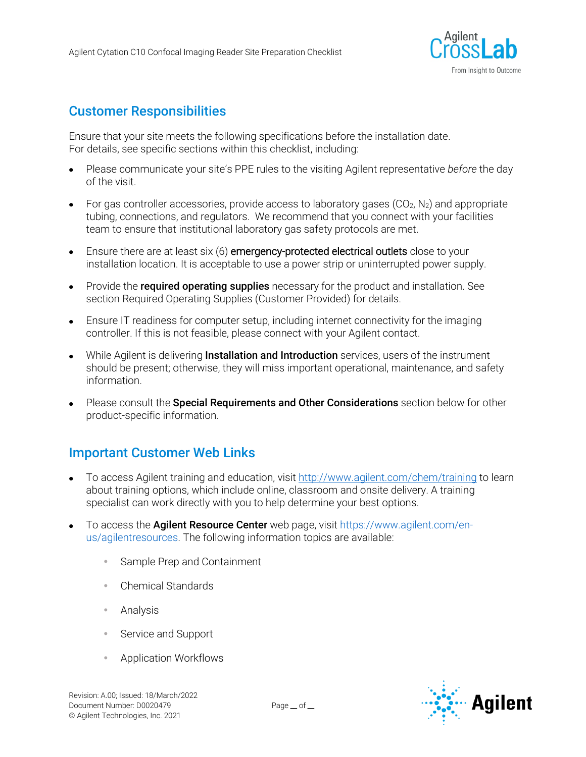

#### Customer Responsibilities

Ensure that your site meets the following specifications before the installation date. For details, see specific sections within this checklist, including:

- Please communicate your site's PPE rules to the visiting Agilent representative *before* the day of the visit.
- For gas controller accessories, provide access to laboratory gases  $(CO_2, N_2)$  and appropriate tubing, connections, and regulators. We recommend that you connect with your facilities team to ensure that institutional laboratory gas safety protocols are met.
- Ensure there are at least six (6) **emergency-protected electrical outlets** close to your installation location. It is acceptable to use a power strip or uninterrupted power supply.
- Provide the **required operating supplies** necessary for the product and installation. See section Required Operating Supplies (Customer Provided) for details.
- Ensure IT readiness for computer setup, including internet connectivity for the imaging controller. If this is not feasible, please connect with your Agilent contact.
- While Agilent is delivering **Installation and Introduction** services, users of the instrument should be present; otherwise, they will miss important operational, maintenance, and safety information.
- Please consult the **Special Requirements and Other Considerations** section below for other product-specific information.

### Important Customer Web Links

- To access Agilent training and education, visit<http://www.agilent.com/chem/training> to learn about training options, which include online, classroom and onsite delivery. A training specialist can work directly with you to help determine your best options.
- To access the **Agilent Resource Center** web page, visit [https://www.agilent.com/en](https://www.agilent.com/en-us/agilentresources)[us/agilentresources.](https://www.agilent.com/en-us/agilentresources) The following information topics are available:
	- Sample Prep and Containment
	- Chemical Standards
	- Analysis
	- Service and Support
	- Application Workflows

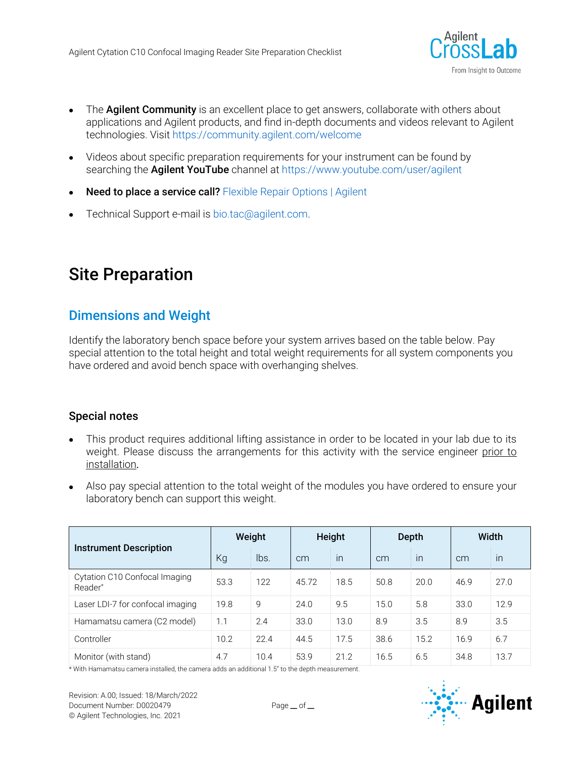

- The **Agilent Community** is an excellent place to get answers, collaborate with others about applications and Agilent products, and find in-depth documents and videos relevant to Agilent technologies. Visit <https://community.agilent.com/welcome>
- Videos about specific preparation requirements for your instrument can be found by searching the **Agilent YouTube** channel a[t https://www.youtube.com/user/agilent](https://www.youtube.com/user/agilent)
- **Need to place a service call?** [Flexible Repair Options | Agilent](https://www.agilent.com/en/promotions/flexible-repair-options)
- Technical Support e-mail is [bio.tac@agilent.com.](mailto:bio.tac@agilent.com)

## Site Preparation

#### Dimensions and Weight

Identify the laboratory bench space before your system arrives based on the table below. Pay special attention to the total height and total weight requirements for all system components you have ordered and avoid bench space with overhanging shelves.

#### Special notes

- This product requires additional lifting assistance in order to be located in your lab due to its weight. Please discuss the arrangements for this activity with the service engineer prior to installation.
- Also pay special attention to the total weight of the modules you have ordered to ensure your laboratory bench can support this weight.

| <b>Instrument Description</b>            | Weight |      | Height |      | Depth |      | Width |      |
|------------------------------------------|--------|------|--------|------|-------|------|-------|------|
|                                          | Kg     | lbs. | cm     | in   | cm    | in   | cm    | in   |
| Cytation C10 Confocal Imaging<br>Reader* | 53.3   | 122  | 45.72  | 18.5 | 50.8  | 20.0 | 46.9  | 27.0 |
| Laser LDI-7 for confocal imaging         | 19.8   | 9    | 24.0   | 9.5  | 15.0  | 5.8  | 33.0  | 12.9 |
| Hamamatsu camera (C2 model)              | 1.1    | 2.4  | 33.0   | 13.0 | 8.9   | 3.5  | 8.9   | 3.5  |
| Controller                               | 10.2   | 22.4 | 44.5   | 17.5 | 38.6  | 15.2 | 16.9  | 6.7  |
| Monitor (with stand)                     | 4.7    | 10.4 | 53.9   | 21.2 | 16.5  | 6.5  | 34.8  | 13.7 |

\* With Hamamatsu camera installed, the camera adds an additional 1.5" to the depth measurement.

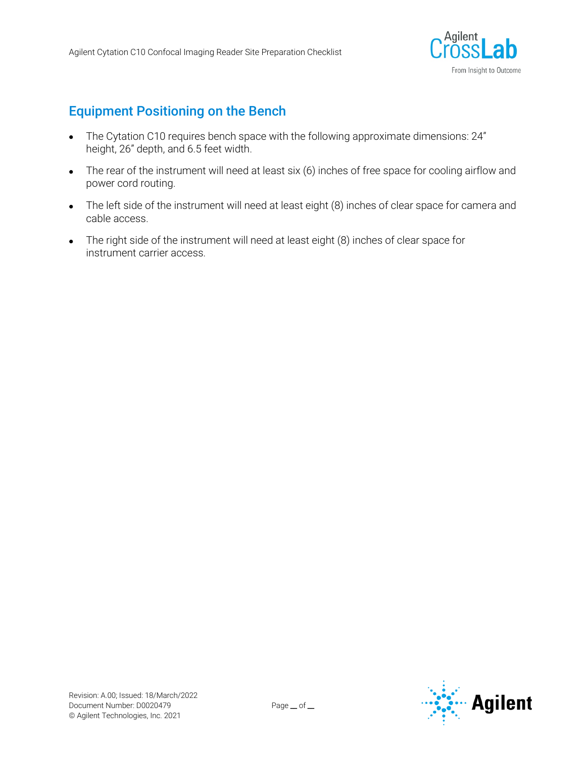

#### Equipment Positioning on the Bench

- The Cytation C10 requires bench space with the following approximate dimensions: 24" height, 26" depth, and 6.5 feet width.
- The rear of the instrument will need at least six (6) inches of free space for cooling airflow and power cord routing.
- The left side of the instrument will need at least eight (8) inches of clear space for camera and cable access.
- The right side of the instrument will need at least eight (8) inches of clear space for instrument carrier access.

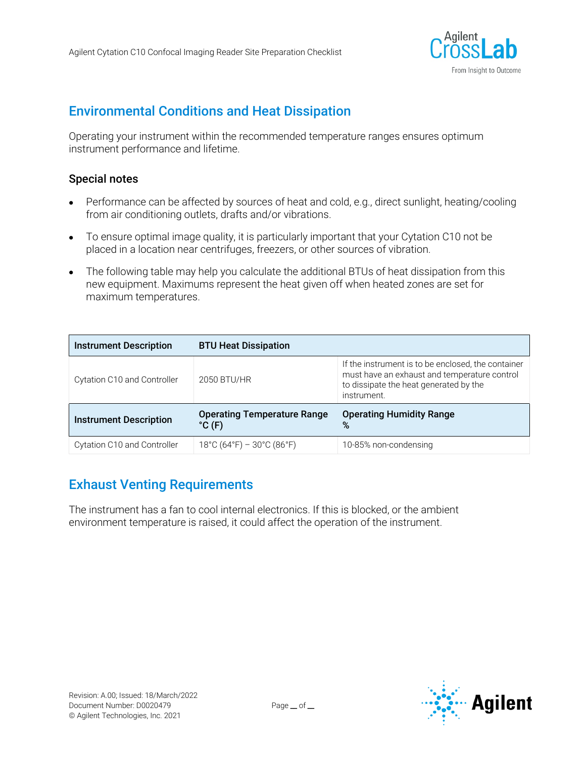

#### Environmental Conditions and Heat Dissipation

Operating your instrument within the recommended temperature ranges ensures optimum instrument performance and lifetime.

#### Special notes

- Performance can be affected by sources of heat and cold, e.g., direct sunlight, heating/cooling from air conditioning outlets, drafts and/or vibrations.
- To ensure optimal image quality, it is particularly important that your Cytation C10 not be placed in a location near centrifuges, freezers, or other sources of vibration.
- The following table may help you calculate the additional BTUs of heat dissipation from this new equipment. Maximums represent the heat given off when heated zones are set for maximum temperatures.

| <b>Instrument Description</b> | <b>BTU Heat Dissipation</b>                                          |                                                                                                                                                             |
|-------------------------------|----------------------------------------------------------------------|-------------------------------------------------------------------------------------------------------------------------------------------------------------|
| Cytation C10 and Controller   | 2050 BTU/HR                                                          | If the instrument is to be enclosed, the container<br>must have an exhaust and temperature control<br>to dissipate the heat generated by the<br>instrument. |
| <b>Instrument Description</b> | <b>Operating Temperature Range</b><br>$^{\circ}$ C (F)               | <b>Operating Humidity Range</b><br>%                                                                                                                        |
| Cytation C10 and Controller   | $18^{\circ}$ C (64 $^{\circ}$ F) – 30 $^{\circ}$ C (86 $^{\circ}$ F) | 10-85% non-condensing                                                                                                                                       |

### Exhaust Venting Requirements

The instrument has a fan to cool internal electronics. If this is blocked, or the ambient environment temperature is raised, it could affect the operation of the instrument.

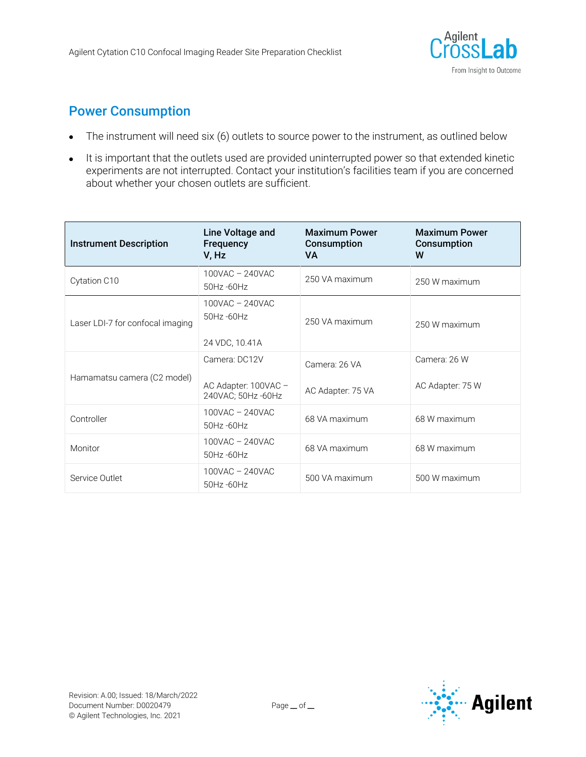

#### Power Consumption

- The instrument will need six (6) outlets to source power to the instrument, as outlined below
- It is important that the outlets used are provided uninterrupted power so that extended kinetic experiments are not interrupted. Contact your institution's facilities team if you are concerned about whether your chosen outlets are sufficient.

| <b>Instrument Description</b>    | Line Voltage and<br>Frequency<br>V, Hz               | <b>Maximum Power</b><br>Consumption<br>VA | <b>Maximum Power</b><br>Consumption<br>W |
|----------------------------------|------------------------------------------------------|-------------------------------------------|------------------------------------------|
| Cytation C10                     | 100VAC - 240VAC<br>50Hz-60Hz                         | 250 VA maximum                            | 250 W maximum                            |
| Laser LDI-7 for confocal imaging | $100$ VAC $- 240$ VAC<br>50Hz-60Hz<br>24 VDC, 10.41A | 250 VA maximum                            | 250 W maximum                            |
| Hamamatsu camera (C2 model)      | Camera: DC12V                                        | Camera: 26 VA                             | Camera: 26 W                             |
|                                  | AC Adapter: 100VAC -<br>240VAC; 50Hz -60Hz           | AC Adapter: 75 VA                         | AC Adapter: 75 W                         |
| Controller                       | 100VAC - 240VAC<br>50Hz-60Hz                         | 68 VA maximum                             | 68 W maximum                             |
| Monitor                          | 100VAC - 240VAC<br>50Hz-60Hz                         | 68 VA maximum                             | 68 W maximum                             |
| Service Outlet                   | 100VAC - 240VAC<br>50Hz-60Hz                         | 500 VA maximum                            | 500 W maximum                            |

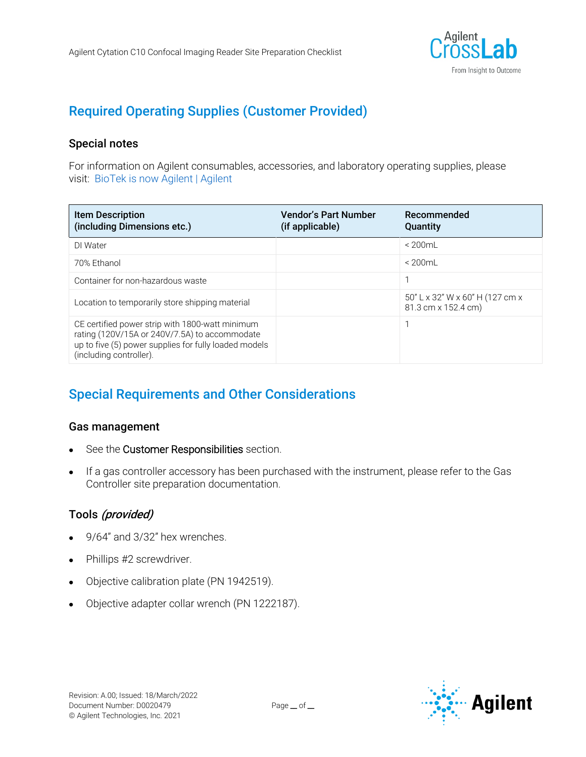

## Required Operating Supplies (Customer Provided)

#### Special notes

For information on Agilent consumables, accessories, and laboratory operating supplies, please visit: [BioTek is now Agilent | Agilent](https://explore.agilent.com/BioTek-joins-Agilent)

| <b>Item Description</b><br>(including Dimensions etc.)                                                                                                                               | <b>Vendor's Part Number</b><br>(if applicable) | Recommended<br>Quantity                                |
|--------------------------------------------------------------------------------------------------------------------------------------------------------------------------------------|------------------------------------------------|--------------------------------------------------------|
| DI Water                                                                                                                                                                             |                                                | $< 200$ mL                                             |
| 70% Ethanol                                                                                                                                                                          |                                                | $< 200$ mL                                             |
| Container for non-hazardous waste                                                                                                                                                    |                                                |                                                        |
| Location to temporarily store shipping material                                                                                                                                      |                                                | 50" L x 32" W x 60" H (127 cm x<br>81.3 cm x 152.4 cm) |
| CE certified power strip with 1800-watt minimum<br>rating (120V/15A or 240V/7.5A) to accommodate<br>up to five (5) power supplies for fully loaded models<br>(including controller). |                                                |                                                        |

### Special Requirements and Other Considerations

#### Gas management

- See the Customer Responsibilities section.
- If a gas controller accessory has been purchased with the instrument, please refer to the Gas Controller site preparation documentation.

#### Tools (provided)

- 9/64" and 3/32" hex wrenches.
- Phillips #2 screwdriver.
- Objective calibration plate (PN 1942519).
- Objective adapter collar wrench (PN 1222187).

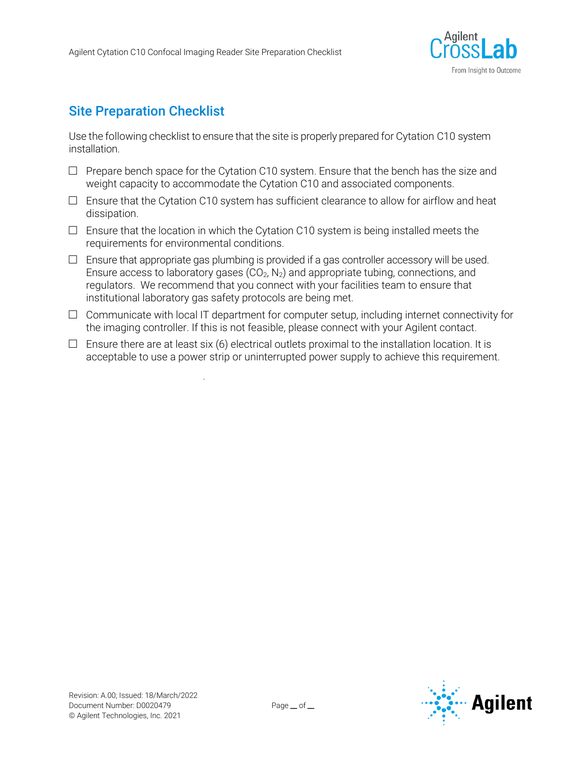.



### Site Preparation Checklist

Use the following checklist to ensure that the site is properly prepared for Cytation C10 system installation.

- $\Box$  Prepare bench space for the Cytation C10 system. Ensure that the bench has the size and weight capacity to accommodate the Cytation C10 and associated components.
- $\Box$  Ensure that the Cytation C10 system has sufficient clearance to allow for airflow and heat dissipation.
- $\square$  Ensure that the location in which the Cytation C10 system is being installed meets the requirements for environmental conditions.
- $\Box$  Ensure that appropriate gas plumbing is provided if a gas controller accessory will be used. Ensure access to laboratory gases  $(CO_2, N_2)$  and appropriate tubing, connections, and regulators. We recommend that you connect with your facilities team to ensure that institutional laboratory gas safety protocols are being met.
- $\Box$  Communicate with local IT department for computer setup, including internet connectivity for the imaging controller. If this is not feasible, please connect with your Agilent contact.
- $\Box$  Ensure there are at least six (6) electrical outlets proximal to the installation location. It is acceptable to use a power strip or uninterrupted power supply to achieve this requirement.